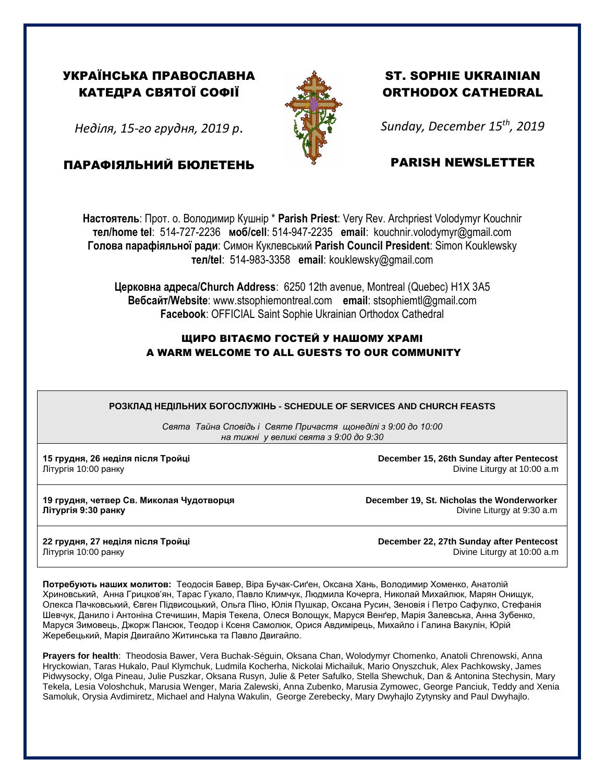## УКРАЇНСЬКА ПРАВОСЛАВНА КАТЕДРА СВЯТОЇ СОФІЇ

*Неділя, 15-го грудня, 2019 р*.

ПАРАФІЯЛЬНИЙ БЮЛЕТЕНЬ



## ST. SOPHIE UKRAINIAN ORTHODOX CATHEDRAL

*Sunday, December 15th , 2019*

## PARISH NEWSLETTER

**Настоятель**: Прот. о. Володимир Кушнір \* **Parish Priest**: Very Rev. Archpriest Volodymyr Kouchnir **тел/home tel**: 514-727-2236 **моб/cell**: 514-947-2235 **email**: kouchnir.volodymyr@gmail.com **Голова парафіяльної ради**: Симон Куклевський **Parish Council President**: Simon Kouklewsky  **тел/tel**: 514-983-3358 **email**: kouklewsky@gmail.com

**Церковна адреса/Church Address**: 6250 12th avenue, Montreal (Quebec) H1X 3A5 **Вебсайт/Website**: www.stsophiemontreal.com **email**: stsophiemtl@gmail.com **Facebook**: OFFICIAL Saint Sophie Ukrainian Orthodox Cathedral

## ЩИРО ВІТАЄМО ГОСТЕЙ У НАШОМУ ХРАМІ A WARM WELCOME TO ALL GUESTS TO OUR COMMUNITY

**РОЗКЛАД НЕДІЛЬНИХ БОГОСЛУЖІНЬ - SCHEDULE OF SERVICES AND CHURCH FEASTS**

*Свята Тайна Сповідь і Святе Причастя щонеділі з 9:00 до 10:00 на тижні у великі свята з 9:00 до 9:30* 

**15 грудня, 26 неділя після Тройці December 15, 26th Sunday after Pentecost** Літургія 10:00 ранку Divine Liturgy at 10:00 a.m

**19 грудня, четвер Св. Миколая Чудотворця December 19, St. Nicholas the Wonderworker**

літургія 9:30 ранку **Ранку видовить видовить видовить видовить видовить видовить видовить день видовить день видо** 

**22 грудня, 27 неділя після Тройці December 22, 27th Sunday after Pentecost** Літургія 10:00 ранку Divine Liturgy at 10:00 a.m

**Потребують наших молитов:** Теодосія Бавер, Віра Бучак-Сиґен, Оксана Хань, Володимир Хоменко, Анатолій Хриновський, Анна Грицков'ян, Тарас Гукало, Павло Климчук, Людмила Кочерга, Николай Михайлюк, Марян Онищук, Олекса Пачковський, Євген Підвисоцький, Ольгa Піно, Юлія Пушкар, Оксанa Русин, Зеновія і Петро Сафулко, Стефанія Шевчук, Данило і Антоніна Стечишин, Марія Текела, Олеся Волощук, Маруся Венґер, Марія Залевська, Анна Зубенко, Маруся Зимовець, Джорж Пансюк, Теодор і Ксеня Самолюк, Орися Авдимірець, Михайло і Галина Вакулін, Юрій Жеребецький, Марія Двигайло Житинська та Павло Двигайло.

**Prayers for health**: Theodosia Bawer, Vera Buchak-Séguin, Oksana Chan, Wolodymyr Chomenko, Anatoli Chrenowski, Anna Hryckowian, Taras Hukalo, Paul Klymchuk, Ludmila Kocherha, Nickolai Michailuk, Mario Onyszchuk, Alex Pachkowsky, James Pidwysocky, Olga Pineau, Julie Puszkar, Oksana Rusyn, Julie & Peter Safulko, Stella Shewchuk, Dan & Antonina Stechysin, Mary Tekela, Lesia Voloshchuk, Marusia Wenger, Maria Zalewski, Anna Zubenko, Marusia Zymowec, George Panciuk, Teddy and Xenia Samoluk, Orysia Avdimiretz, Michael and Halyna Wakulin, George Zerebecky, Mary Dwyhajlo Zytynsky and Paul Dwyhajlo.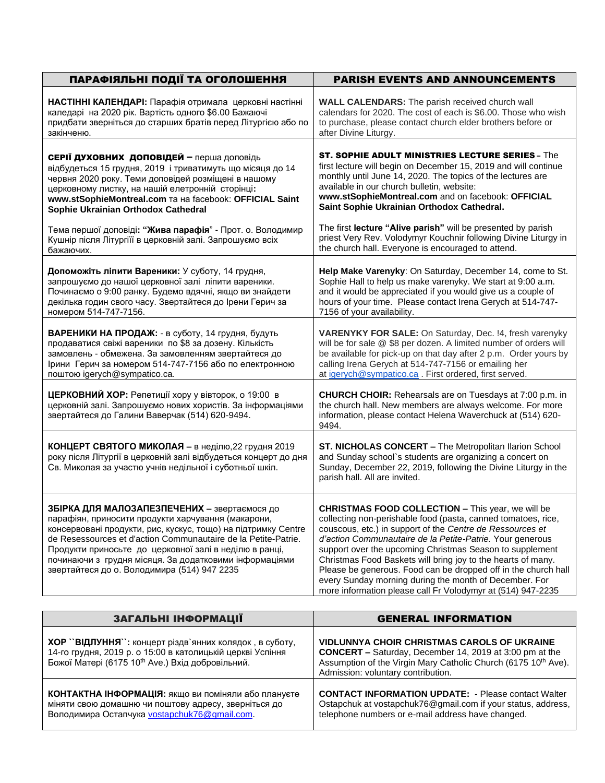| ПАРАФІЯЛЬНІ ПОДІЇ ТА ОГОЛОШЕННЯ                                                                                                                                                                                                                                                                                                                                                                                                                     | <b>PARISH EVENTS AND ANNOUNCEMENTS</b>                                                                                                                                                                                                                                                                                                                                                                                                                                                                                                                                     |
|-----------------------------------------------------------------------------------------------------------------------------------------------------------------------------------------------------------------------------------------------------------------------------------------------------------------------------------------------------------------------------------------------------------------------------------------------------|----------------------------------------------------------------------------------------------------------------------------------------------------------------------------------------------------------------------------------------------------------------------------------------------------------------------------------------------------------------------------------------------------------------------------------------------------------------------------------------------------------------------------------------------------------------------------|
| НАСТІННІ КАЛЕНДАРІ: Парафія отримала церковні настінні<br>каледарі на 2020 рік. Вартість одного \$6.00 Бажаючі<br>придбати зверніться до старших братів перед Літургією або по<br>закінченю.                                                                                                                                                                                                                                                        | <b>WALL CALENDARS:</b> The parish received church wall<br>calendars for 2020. The cost of each is \$6.00. Those who wish<br>to purchase, please contact church elder brothers before or<br>after Divine Liturgy.                                                                                                                                                                                                                                                                                                                                                           |
| <b>СЕРІЇ ДУХОВНИХ ДОПОВІДЕЙ</b> - перша доповідь<br>відбудеться 15 грудня, 2019 і триватимуть що місяця до 14<br>червня 2020 року. Теми доповідей розміщені в нашому<br>церковному листку, на нашій елетронній сторінці:<br>WWW.stSophieMontreal.com Ta Ha facebook: OFFICIAL Saint<br>Sophie Ukrainian Orthodox Cathedral<br>Тема першої доповіді: "Жива парафія" - Прот. о. Володимир<br>Кушнір після Літургіїї в церковній залі. Запрошуємо всіх | ST. SOPHIE ADULT MINISTRIES LECTURE SERIES - The<br>first lecture will begin on December 15, 2019 and will continue<br>monthly until June 14, 2020. The topics of the lectures are<br>available in our church bulletin, website:<br>www.stSophieMontreal.com and on facebook: OFFICIAL<br>Saint Sophie Ukrainian Orthodox Cathedral.<br>The first lecture "Alive parish" will be presented by parish<br>priest Very Rev. Volodymyr Kouchnir following Divine Liturgy in<br>the church hall. Everyone is encouraged to attend.                                              |
| бажаючих.<br>Допоможіть ліпити Вареники: У суботу, 14 грудня,<br>запрошуємо до нашої церковної залі ліпити вареники.<br>Починаємо о 9:00 ранку. Будемо вдячні, якщо ви знайдети<br>декілька годин свого часу. Звертайтеся до Ірени Герич за<br>номером 514-747-7156.                                                                                                                                                                                | Help Make Varenyky: On Saturday, December 14, come to St.<br>Sophie Hall to help us make varenyky. We start at 9:00 a.m.<br>and it would be appreciated if you would give us a couple of<br>hours of your time. Please contact Irena Gerych at 514-747-<br>7156 of your availability.                                                                                                                                                                                                                                                                                      |
| ВАРЕНИКИ НА ПРОДАЖ: - в суботу, 14 грудня, будуть<br>продаватися свіжі вареники по \$8 за дозену. Кількість<br>замовлень - обмежена. За замовленням звертайтеся до<br>Ірини Герич за номером 514-747-7156 або по електронною<br>поштою igerych@sympatico.ca.                                                                                                                                                                                        | VARENYKY FOR SALE: On Saturday, Dec. !4, fresh varenyky<br>will be for sale @ \$8 per dozen. A limited number of orders will<br>be available for pick-up on that day after 2 p.m. Order yours by<br>calling Irena Gerych at 514-747-7156 or emailing her<br>at igerych@sympatico.ca. First ordered, first served.                                                                                                                                                                                                                                                          |
| ЦЕРКОВНИЙ ХОР: Репетиції хору у вівторок, о 19:00 в<br>церковній залі. Запрошуємо нових хористів. За інформаціями<br>звертайтеся до Галини Ваверчак (514) 620-9494.                                                                                                                                                                                                                                                                                 | <b>CHURCH CHOIR:</b> Rehearsals are on Tuesdays at 7:00 p.m. in<br>the church hall. New members are always welcome. For more<br>information, please contact Helena Waverchuck at (514) 620-<br>9494.                                                                                                                                                                                                                                                                                                                                                                       |
| КОНЦЕРТ СВЯТОГО МИКОЛАЯ - в неділю, 22 грудня 2019<br>року після Літургії в церковній залі відбудеться концерт до дня<br>Св. Миколая за участю учнів недільної і суботньої шкіл.                                                                                                                                                                                                                                                                    | ST. NICHOLAS CONCERT - The Metropolitan Ilarion School<br>and Sunday school's students are organizing a concert on<br>Sunday, December 22, 2019, following the Divine Liturgy in the<br>parish hall. All are invited.                                                                                                                                                                                                                                                                                                                                                      |
| ЗБІРКА ДЛЯ МАЛОЗАПЕЗПЕЧЕНИХ - звертаємося до<br>парафіян, приносити продукти харчування (макарони,<br>консервовані продукти, рис, кускус, тощо) на підтримку Centre<br>de Resessources et d'action Communautaire de la Petite-Patrie.<br>Продукти приносьте до церковної залі в неділю в ранці,<br>починаючи з грудня місяця. За додатковими інформаціями<br>звертайтеся до о. Володимира (514) 947 2235                                            | <b>CHRISTMAS FOOD COLLECTION - This year, we will be</b><br>collecting non-perishable food (pasta, canned tomatoes, rice,<br>couscous, etc.) in support of the Centre de Ressources et<br>d'action Communautaire de la Petite-Patrie. Your generous<br>support over the upcoming Christmas Season to supplement<br>Christmas Food Baskets will bring joy to the hearts of many.<br>Please be generous. Food can be dropped off in the church hall<br>every Sunday morning during the month of December. For<br>more information please call Fr Volodymyr at (514) 947-2235 |

| ЗАГАЛЬНІ ІНФОРМАЦІЇ                                                                                                                                                                  | <b>GENERAL INFORMATION</b>                                                                                                                                                                                                               |
|--------------------------------------------------------------------------------------------------------------------------------------------------------------------------------------|------------------------------------------------------------------------------------------------------------------------------------------------------------------------------------------------------------------------------------------|
| ХОР "ВІДЛУННЯ": концерт різдв'янних колядок, в суботу,<br>14-го грудня, 2019 р. о 15:00 в католицькій церкві Успіння<br>Божої Матері (6175 10 <sup>th</sup> Ave.) Вхід добровільний. | <b>VIDLUNNYA CHOIR CHRISTMAS CAROLS OF UKRAINE</b><br><b>CONCERT</b> - Saturday, December 14, 2019 at 3:00 pm at the<br>Assumption of the Virgin Mary Catholic Church (6175 10 <sup>th</sup> Ave).<br>Admission: voluntary contribution. |
| КОНТАКТНА ІНФОРМАЦІЯ: якщо ви поміняли або плануєте<br>міняти свою домашню чи поштову адресу, зверніться до<br>Володимира Остапчука vostapchuk76@gmail.com.                          | <b>CONTACT INFORMATION UPDATE: - Please contact Walter</b><br>Ostapchuk at vostapchuk76@gmail.com if your status, address,<br>telephone numbers or e-mail address have changed.                                                          |